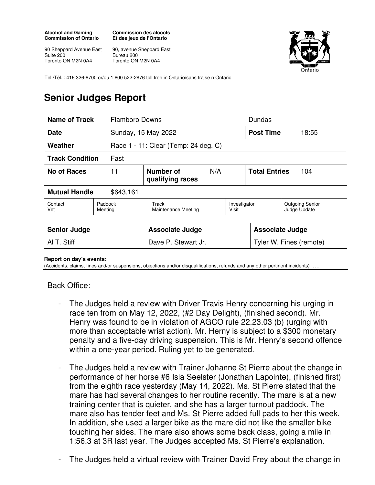## **Alcohol and Gaming Commission of Ontario**

**Commission des alcools Et des jeux de l'Ontario** 

90 Sheppard Avenue East Suite 200 Toronto ON M2N 0A4

90, avenue Sheppard East Bureau 200 Toronto ON M2N 0A4



Tel./Tél. : 416 326-8700 or/ou 1 800 522-2876 toll free in Ontario/sans fraise n Ontario

## **Senior Judges Report**

| <b>Name of Track</b>              |                    | <b>Flamboro Downs</b>                |     |                       | Dundas                      |                                        |  |
|-----------------------------------|--------------------|--------------------------------------|-----|-----------------------|-----------------------------|----------------------------------------|--|
| <b>Date</b>                       |                    | Sunday, 15 May 2022                  |     |                       | <b>Post Time</b>            | 18:55                                  |  |
| Weather                           |                    | Race 1 - 11: Clear (Temp: 24 deg. C) |     |                       |                             |                                        |  |
| <b>Track Condition</b><br>Fast    |                    |                                      |     |                       |                             |                                        |  |
| No of Races                       | 11                 | Number of<br>qualifying races        | N/A |                       | <b>Total Entries</b><br>104 |                                        |  |
| <b>Mutual Handle</b><br>\$643,161 |                    |                                      |     |                       |                             |                                        |  |
| Contact<br>Vet                    | Paddock<br>Meeting | Track<br><b>Maintenance Meeting</b>  |     | Investigator<br>Visit |                             | <b>Outgoing Senior</b><br>Judge Update |  |

| <b>Senior Judge</b> | <b>Associate Judge</b> | <b>Associate Judge</b>  |
|---------------------|------------------------|-------------------------|
| AI T. Stiff         | Dave P. Stewart Jr.    | Tyler W. Fines (remote) |

## **Report on day's events:**

(Accidents, claims, fines and/or suspensions, objections and/or disqualifications, refunds and any other pertinent incidents) ….

## Back Office:

- The Judges held a review with Driver Travis Henry concerning his urging in race ten from on May 12, 2022, (#2 Day Delight), (finished second). Mr. Henry was found to be in violation of AGCO rule 22.23.03 (b) (urging with more than acceptable wrist action). Mr. Herny is subject to a \$300 monetary penalty and a five-day driving suspension. This is Mr. Henry's second offence within a one-year period. Ruling yet to be generated.
- The Judges held a review with Trainer Johanne St Pierre about the change in performance of her horse #6 Isla Seelster (Jonathan Lapointe), (finished first) from the eighth race yesterday (May 14, 2022). Ms. St Pierre stated that the mare has had several changes to her routine recently. The mare is at a new training center that is quieter, and she has a larger turnout paddock. The mare also has tender feet and Ms. St Pierre added full pads to her this week. In addition, she used a larger bike as the mare did not like the smaller bike touching her sides. The mare also shows some back class, going a mile in 1:56.3 at 3R last year. The Judges accepted Ms. St Pierre's explanation.
- The Judges held a virtual review with Trainer David Frey about the change in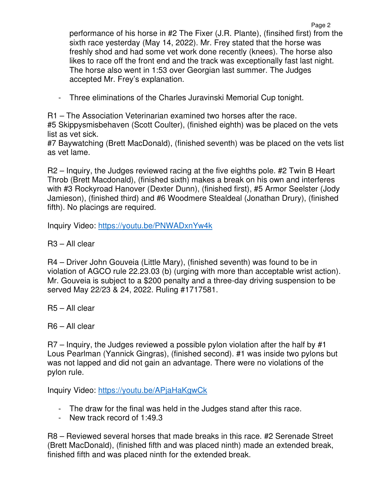Page 2 performance of his horse in #2 The Fixer (J.R. Plante), (finsihed first) from the sixth race yesterday (May 14, 2022). Mr. Frey stated that the horse was freshly shod and had some vet work done recently (knees). The horse also likes to race off the front end and the track was exceptionally fast last night. The horse also went in 1:53 over Georgian last summer. The Judges accepted Mr. Frey's explanation.

- Three eliminations of the Charles Juravinski Memorial Cup tonight.

R1 – The Association Veterinarian examined two horses after the race. #5 Skippysmisbehaven (Scott Coulter), (finished eighth) was be placed on the vets list as vet sick.

#7 Baywatching (Brett MacDonald), (finished seventh) was be placed on the vets list as vet lame.

R2 – Inquiry, the Judges reviewed racing at the five eighths pole. #2 Twin B Heart Throb (Brett Macdonald), (finished sixth) makes a break on his own and interferes with #3 Rockyroad Hanover (Dexter Dunn), (finished first), #5 Armor Seelster (Jody Jamieson), (finished third) and #6 Woodmere Stealdeal (Jonathan Drury), (finished fifth). No placings are required.

Inquiry Video: https://youtu.be/PNWADxnYw4k

R3 – All clear

R4 – Driver John Gouveia (Little Mary), (finished seventh) was found to be in violation of AGCO rule 22.23.03 (b) (urging with more than acceptable wrist action). Mr. Gouveia is subject to a \$200 penalty and a three-day driving suspension to be served May 22/23 & 24, 2022. Ruling #1717581.

R5 – All clear

R6 – All clear

R7 – Inquiry, the Judges reviewed a possible pylon violation after the half by #1 Lous Pearlman (Yannick Gingras), (finished second). #1 was inside two pylons but was not lapped and did not gain an advantage. There were no violations of the pylon rule.

Inquiry Video: https://youtu.be/APjaHaKgwCk

- The draw for the final was held in the Judges stand after this race.
- New track record of 1:49.3

R8 – Reviewed several horses that made breaks in this race. #2 Serenade Street (Brett MacDonald), (finished fifth and was placed ninth) made an extended break, finished fifth and was placed ninth for the extended break.